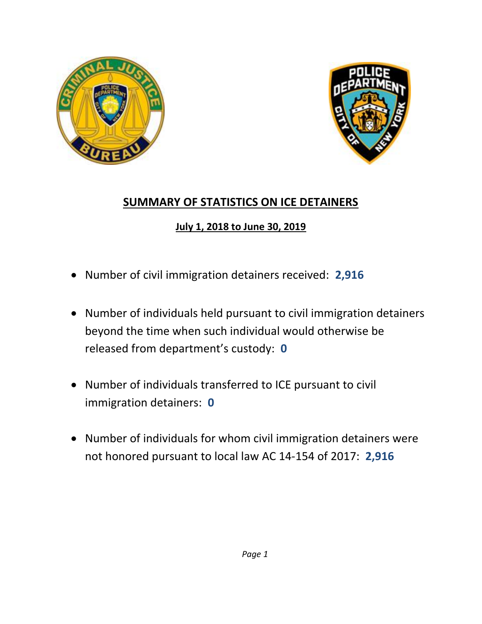



## **SUMMARY OF STATISTICS ON ICE DETAINERS**

## **July 1, 2018 to June 30, 2019**

- Number of civil immigration detainers received: **2,916**
- Number of individuals held pursuant to civil immigration detainers beyond the time when such individual would otherwise be released from department's custody: **0**
- Number of individuals transferred to ICE pursuant to civil immigration detainers: **0**
- Number of individuals for whom civil immigration detainers were not honored pursuant to local law AC 14-154 of 2017: **2,916**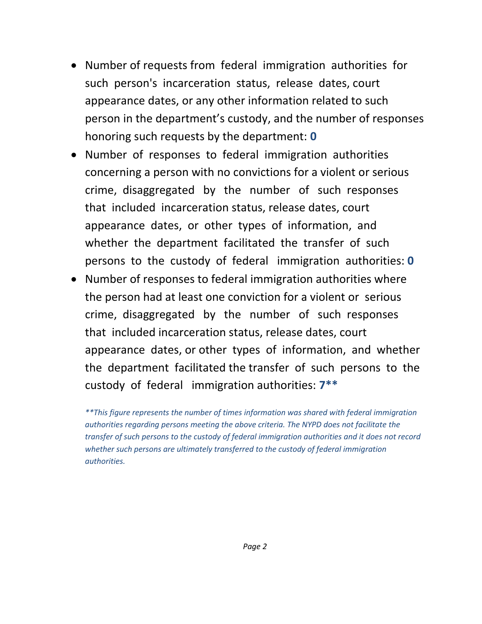- Number of requests from federal immigration authorities for such person's incarceration status, release dates, court appearance dates, or any other information related to such person in the department's custody, and the number of responses honoring such requests by the department: **0**
- Number of responses to federal immigration authorities concerning a person with no convictions for a violent or serious crime, disaggregated by the number of such responses that included incarceration status, release dates, court appearance dates, or other types of information, and whether the department facilitated the transfer of such persons to the custody of federal immigration authorities: **0**
- Number of responses to federal immigration authorities where the person had at least one conviction for a violent or serious crime, disaggregated by the number of such responses that included incarceration status, release dates, court appearance dates, or other types of information, and whether the department facilitated the transfer of such persons to the custody of federal immigration authorities: **7\*\***

*\*\*This figure represents the number of times information was shared with federal immigration authorities regarding persons meeting the above criteria. The NYPD does not facilitate the transfer of such persons to the custody of federal immigration authorities and it does not record whether such persons are ultimately transferred to the custody of federal immigration authorities.*